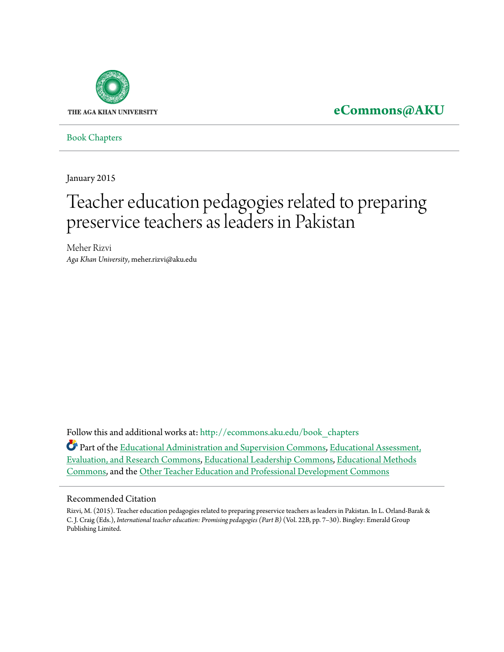

## **[eCommons@AKU](http://ecommons.aku.edu?utm_source=ecommons.aku.edu%2Fbook_chapters%2F214&utm_medium=PDF&utm_campaign=PDFCoverPages)**

[Book Chapters](http://ecommons.aku.edu/book_chapters?utm_source=ecommons.aku.edu%2Fbook_chapters%2F214&utm_medium=PDF&utm_campaign=PDFCoverPages)

January 2015

# Teacher education pedagogies related to preparing preservice teachers as leaders in Pakistan

Meher Rizvi *Aga Khan University*, meher.rizvi@aku.edu

Follow this and additional works at: [http://ecommons.aku.edu/book\\_chapters](http://ecommons.aku.edu/book_chapters?utm_source=ecommons.aku.edu%2Fbook_chapters%2F214&utm_medium=PDF&utm_campaign=PDFCoverPages)

Part of the [Educational Administration and Supervision Commons,](http://network.bepress.com/hgg/discipline/787?utm_source=ecommons.aku.edu%2Fbook_chapters%2F214&utm_medium=PDF&utm_campaign=PDFCoverPages) [Educational Assessment,](http://network.bepress.com/hgg/discipline/796?utm_source=ecommons.aku.edu%2Fbook_chapters%2F214&utm_medium=PDF&utm_campaign=PDFCoverPages) [Evaluation, and Research Commons,](http://network.bepress.com/hgg/discipline/796?utm_source=ecommons.aku.edu%2Fbook_chapters%2F214&utm_medium=PDF&utm_campaign=PDFCoverPages) [Educational Leadership Commons,](http://network.bepress.com/hgg/discipline/1230?utm_source=ecommons.aku.edu%2Fbook_chapters%2F214&utm_medium=PDF&utm_campaign=PDFCoverPages) [Educational Methods](http://network.bepress.com/hgg/discipline/1227?utm_source=ecommons.aku.edu%2Fbook_chapters%2F214&utm_medium=PDF&utm_campaign=PDFCoverPages) [Commons,](http://network.bepress.com/hgg/discipline/1227?utm_source=ecommons.aku.edu%2Fbook_chapters%2F214&utm_medium=PDF&utm_campaign=PDFCoverPages) and the [Other Teacher Education and Professional Development Commons](http://network.bepress.com/hgg/discipline/810?utm_source=ecommons.aku.edu%2Fbook_chapters%2F214&utm_medium=PDF&utm_campaign=PDFCoverPages)

#### Recommended Citation

Rizvi, M. (2015). Teacher education pedagogies related to preparing preservice teachers as leaders in Pakistan. In L. Orland-Barak & C. J. Craig (Eds.), *International teacher education: Promising pedagogies (Part B)* (Vol. 22B, pp. 7–30). Bingley: Emerald Group Publishing Limited.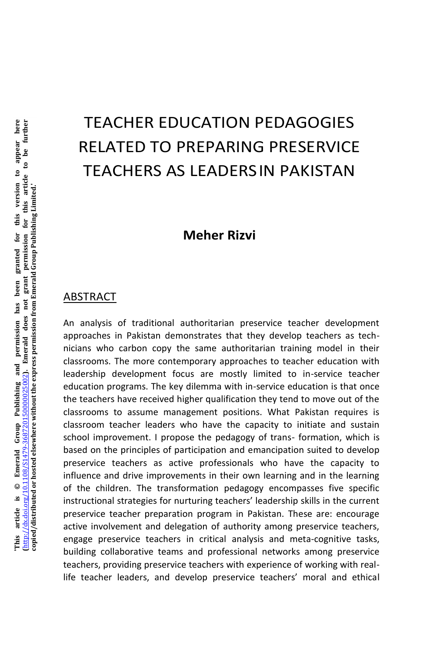## TEACHER EDUCATION PEDAGOGIES RELATED TO PREPARING PRESERVICE TEACHERS AS LEADERSIN PAKISTAN

## **Meher Rizvi**

#### ABSTRACT

An analysis of traditional authoritarian preservice teacher development approaches in Pakistan demonstrates that they develop teachers as technicians who carbon copy the same authoritarian training model in their classrooms. The more contemporary approaches to teacher education with leadership development focus are mostly limited to in-service teacher education programs. The key dilemma with in-service education is that once the teachers have received higher qualification they tend to move out of the classrooms to assume management positions. What Pakistan requires is classroom teacher leaders who have the capacity to initiate and sustain school improvement. I propose the pedagogy of trans- formation, which is based on the principles of participation and emancipation suited to develop preservice teachers as active professionals who have the capacity to influence and drive improvements in their own learning and in the learning of the children. The transformation pedagogy encompasses five specific instructional strategies for nurturing teachers' leadership skills in the current preservice teacher preparation program in Pakistan. These are: encourage active involvement and delegation of authority among preservice teachers, engage preservice teachers in critical analysis and meta-cognitive tasks, building collaborative teams and professional networks among preservice teachers, providing preservice teachers with experience of working with reallife teacher leaders, and develop preservice teachers' moral and ethical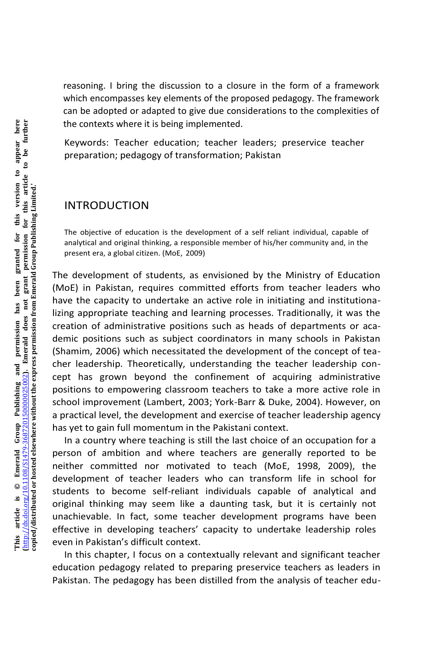reasoning. I bring the discussion to a closure in the form of a framework which encompasses key elements of the proposed pedagogy. The framework can be adopted or adapted to give due considerations to the complexities of the contexts where it is being implemented.

Keywords: Teacher education; teacher leaders; preservice teacher preparation; pedagogy of transformation; Pakistan

#### INTRODUCTION

The objective of education is the development of a self reliant individual, capable of analytical and original thinking, a responsible member of his/her community and, in the present era, a global citizen. (MoE, 2009)

The development of students, as envisioned by the Ministry of Education (MoE) in Pakistan, requires committed efforts from teacher leaders who have the capacity to undertake an active role in initiating and institutionalizing appropriate teaching and learning processes. Traditionally, it was the creation of administrative positions such as heads of departments or academic positions such as subject coordinators in many schools in Pakistan (Shamim, 2006) which necessitated the development of the concept of teacher leadership. Theoretically, understanding the teacher leadership concept has grown beyond the confinement of acquiring administrative positions to empowering classroom teachers to take a more active role in school improvement (Lambert, 2003; York-Barr & Duke, 2004). However, on a practical level, the development and exercise of teacher leadership agency has yet to gain full momentum in the Pakistani context.

In a country where teaching is still the last choice of an occupation for a person of ambition and where teachers are generally reported to be neither committed nor motivated to teach (MoE, 1998, 2009), the development of teacher leaders who can transform life in school for students to become self-reliant individuals capable of analytical and original thinking may seem like a daunting task, but it is certainly not unachievable. In fact, some teacher development programs have been effective in developing teachers' capacity to undertake leadership roles even in Pakistan's difficult context.

In this chapter, I focus on a contextually relevant and significant teacher education pedagogy related to preparing preservice teachers as leaders in Pakistan. The pedagogy has been distilled from the analysis of teacher edu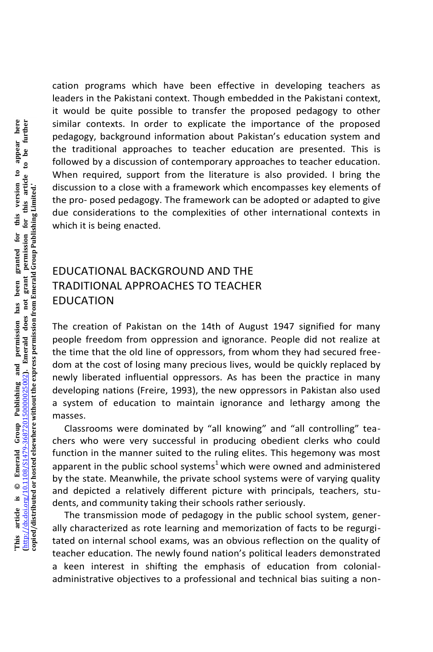cation programs which have been effective in developing teachers as leaders in the Pakistani context. Though embedded in the Pakistani context, it would be quite possible to transfer the proposed pedagogy to other similar contexts. In order to explicate the importance of the proposed pedagogy, background information about Pakistan's education system and the traditional approaches to teacher education are presented. This is followed by a discussion of contemporary approaches to teacher education. When required, support from the literature is also provided. I bring the discussion to a close with a framework which encompasses key elements of the pro- posed pedagogy. The framework can be adopted or adapted to give due considerations to the complexities of other international contexts in which it is being enacted.

## EDUCATIONAL BACKGROUND AND THE TRADITIONAL APPROACHES TO TEACHER EDUCATION

The creation of Pakistan on the 14th of August 1947 signified for many people freedom from oppression and ignorance. People did not realize at the time that the old line of oppressors, from whom they had secured freedom at the cost of losing many precious lives, would be quickly replaced by newly liberated influential oppressors. As has been the practice in many developing nations (Freire, 1993), the new oppressors in Pakistan also used a system of education to maintain ignorance and lethargy among the masses.

Classrooms were dominated by "all knowing" and "all controlling" teachers who were very successful in producing obedient clerks who could function in the manner suited to the ruling elites. This hegemony was most apparent in the public school systems<sup>1</sup> which were owned and administered by the state. Meanwhile, the private school systems were of varying quality and depicted a relatively different picture with principals, teachers, students, and community taking their schools rather seriously.

The transmission mode of pedagogy in the public school system, generally characterized as rote learning and memorization of facts to be regurgitated on internal school exams, was an obvious reflection on the quality of teacher education. The newly found nation's political leaders demonstrated a keen interest in shifting the emphasis of education from colonialadministrative objectives to a professional and technical bias suiting a non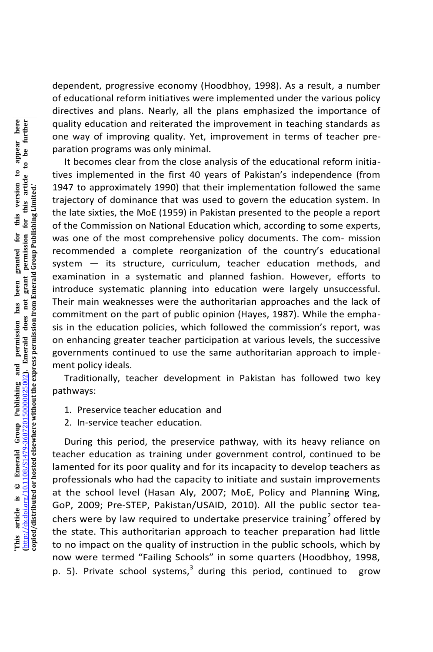dependent, progressive economy (Hoodbhoy, 1998). As a result, a number of educational reform initiatives were implemented under the various policy directives and plans. Nearly, all the plans emphasized the importance of quality education and reiterated the improvement in teaching standards as one way of improving quality. Yet, improvement in terms of teacher preparation programs was only minimal.

It becomes clear from the close analysis of the educational reform initiatives implemented in the first 40 years of Pakistan's independence (from 1947 to approximately 1990) that their implementation followed the same trajectory of dominance that was used to govern the education system. In the late sixties, the MoE (1959) in Pakistan presented to the people a report of the Commission on National Education which, according to some experts, was one of the most comprehensive policy documents. The com- mission recommended a complete reorganization of the country's educational system — its structure, curriculum, teacher education methods, and examination in a systematic and planned fashion. However, efforts to introduce systematic planning into education were largely unsuccessful. Their main weaknesses were the authoritarian approaches and the lack of commitment on the part of public opinion (Hayes, 1987). While the emphasis in the education policies, which followed the commission's report, was on enhancing greater teacher participation at various levels, the successive governments continued to use the same authoritarian approach to implement policy ideals.

Traditionally, teacher development in Pakistan has followed two key pathways:

- 1. Preservice teacher education and
- 2. In-service teacher education.

During this period, the preservice pathway, with its heavy reliance on teacher education as training under government control, continued to be lamented for its poor quality and for its incapacity to develop teachers as professionals who had the capacity to initiate and sustain improvements at the school level (Hasan Aly, 2007; MoE, Policy and Planning Wing, GoP, 2009; Pre-STEP, Pakistan/USAID, 2010). All the public sector teachers were by law required to undertake preservice training<sup>2</sup> offered by the state. This authoritarian approach to teacher preparation had little to no impact on the quality of instruction in the public schools, which by now were termed "Failing Schools" in some quarters (Hoodbhoy, 1998, p. 5). Private school systems,<sup>3</sup> during this period, continued to grow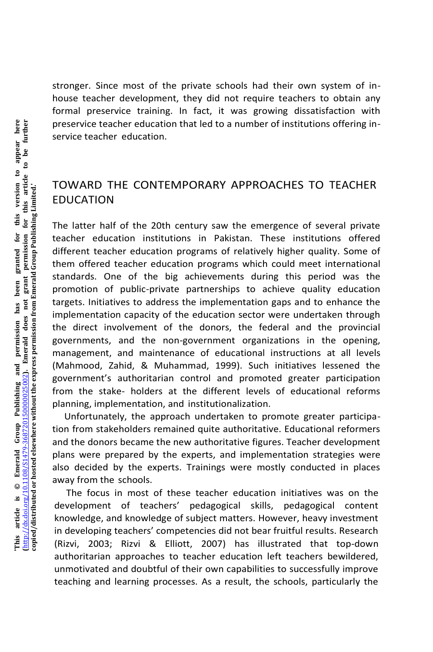stronger. Since most of the private schools had their own system of inhouse teacher development, they did not require teachers to obtain any formal preservice training. In fact, it was growing dissatisfaction with preservice teacher education that led to a number of institutions offering inservice teacher education.

#### TOWARD THE CONTEMPORARY APPROACHES TO TEACHER EDUCATION

The latter half of the 20th century saw the emergence of several private teacher education institutions in Pakistan. These institutions offered different teacher education programs of relatively higher quality. Some of them offered teacher education programs which could meet international standards. One of the big achievements during this period was the promotion of public-private partnerships to achieve quality education targets. Initiatives to address the implementation gaps and to enhance the implementation capacity of the education sector were undertaken through the direct involvement of the donors, the federal and the provincial governments, and the non-government organizations in the opening, management, and maintenance of educational instructions at all levels (Mahmood, Zahid, & Muhammad, 1999). Such initiatives lessened the government's authoritarian control and promoted greater participation from the stake- holders at the different levels of educational reforms planning, implementation, and institutionalization.

Unfortunately, the approach undertaken to promote greater participation from stakeholders remained quite authoritative. Educational reformers and the donors became the new authoritative figures. Teacher development plans were prepared by the experts, and implementation strategies were also decided by the experts. Trainings were mostly conducted in places away from the schools.

The focus in most of these teacher education initiatives was on the development of teachers' pedagogical skills, pedagogical content knowledge, and knowledge of subject matters. However, heavy investment in developing teachers' competencies did not bear fruitful results. Research (Rizvi, 2003; Rizvi & Elliott, 2007) has illustrated that top-down authoritarian approaches to teacher education left teachers bewildered, unmotivated and doubtful of their own capabilities to successfully improve teaching and learning processes. As a result, the schools, particularly the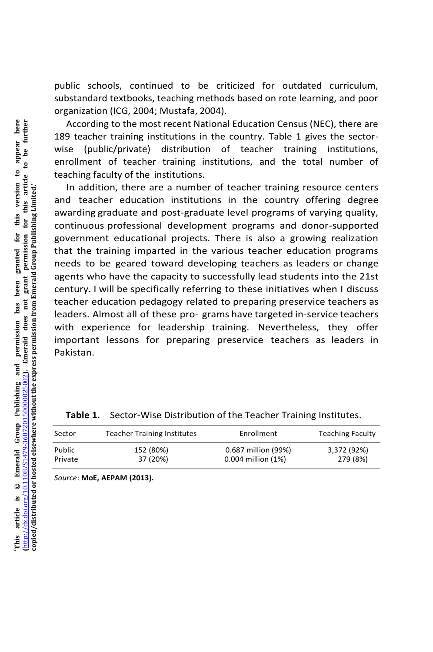public schools, continued to be criticized for outdated curriculum, substandard textbooks, teaching methods based on rote learning, and poor organization (ICG, 2004; Mustafa, 2004).

According to the most recent National Education Census (NEC), there are 189 teacher training institutions in the country. Table 1 gives the sectorwise (public/private) distribution of teacher training institutions, enrollment of teacher training institutions, and the total number of teaching faculty of the institutions.

In addition, there are a number of teacher training resource centers and teacher education institutions in the country offering degree awarding graduate and post-graduate level programs of varying quality, continuous professional development programs and donor-supported government educational projects. There is also a growing realization that the training imparted in the various teacher education programs needs to be geared toward developing teachers as leaders or change agents who have the capacity to successfully lead students into the 21st century. I will be specifically referring to these initiatives when I discuss teacher education pedagogy related to preparing preservice teachers as leaders. Almost all of these pro- grams have targeted in-service teachers with experience for leadership training. Nevertheless, they offer important lessons for preparing preservice teachers as leaders in Pakistan.

|  |  | Table 1. Sector-Wise Distribution of the Teacher Training Institutes. |
|--|--|-----------------------------------------------------------------------|
|  |  |                                                                       |

| Sector  | <b>Teacher Training Institutes</b> | Enrollment          | <b>Teaching Faculty</b> |
|---------|------------------------------------|---------------------|-------------------------|
| Public  | 152 (80%)                          | 0.687 million (99%) | 3,372 (92%)             |
| Private | 37 (20%)                           | 0.004 million (1%)  | 279 (8%)                |

*Source*: **MoE, AEPAM (2013).**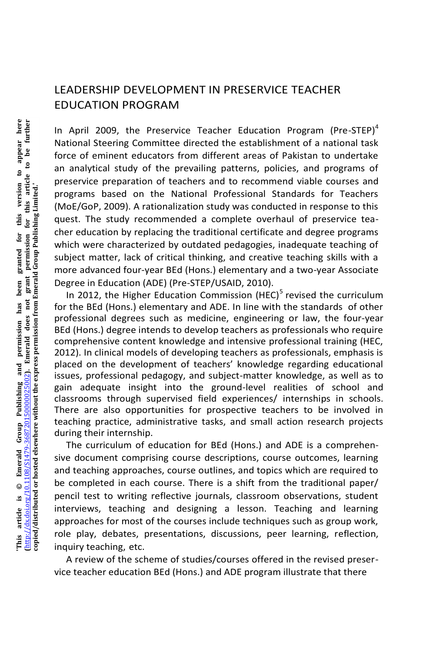#### LEADERSHIP DEVELOPMENT IN PRESERVICE TEACHER EDUCATION PROGRAM

In April 2009, the Preservice Teacher Education Program (Pre-STEP) $<sup>4</sup>$ </sup> National Steering Committee directed the establishment of a national task force of eminent educators from different areas of Pakistan to undertake an analytical study of the prevailing patterns, policies, and programs of preservice preparation of teachers and to recommend viable courses and programs based on the National Professional Standards for Teachers (MoE/GoP, 2009). A rationalization study was conducted in response to this quest. The study recommended a complete overhaul of preservice teacher education by replacing the traditional certificate and degree programs which were characterized by outdated pedagogies, inadequate teaching of subject matter, lack of critical thinking, and creative teaching skills with a more advanced four-year BEd (Hons.) elementary and a two-year Associate Degree in Education (ADE) (Pre-STEP/USAID, 2010).

In 2012, the Higher Education Commission (HEC)<sup>5</sup> revised the curriculum for the BEd (Hons.) elementary and ADE. In line with the standards of other professional degrees such as medicine, engineering or law, the four-year BEd (Hons.) degree intends to develop teachers as professionals who require comprehensive content knowledge and intensive professional training (HEC, 2012). In clinical models of developing teachers as professionals, emphasis is placed on the development of teachers' knowledge regarding educational issues, professional pedagogy, and subject-matter knowledge, as well as to gain adequate insight into the ground-level realities of school and classrooms through supervised field experiences/ internships in schools. There are also opportunities for prospective teachers to be involved in teaching practice, administrative tasks, and small action research projects during their internship.

The curriculum of education for BEd (Hons.) and ADE is a comprehensive document comprising course descriptions, course outcomes, learning and teaching approaches, course outlines, and topics which are required to be completed in each course. There is a shift from the traditional paper/ pencil test to writing reflective journals, classroom observations, student interviews, teaching and designing a lesson. Teaching and learning approaches for most of the courses include techniques such as group work, role play, debates, presentations, discussions, peer learning, reflection, inquiry teaching, etc.

A review of the scheme of studies/courses offered in the revised preservice teacher education BEd (Hons.) and ADE program illustrate that there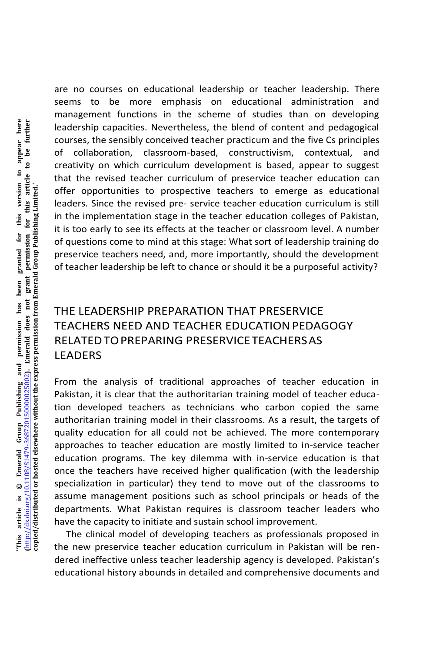are no courses on educational leadership or teacher leadership. There seems to be more emphasis on educational administration and management functions in the scheme of studies than on developing leadership capacities. Nevertheless, the blend of content and pedagogical courses, the sensibly conceived teacher practicum and the five Cs principles of collaboration, classroom-based, constructivism, contextual, and creativity on which curriculum development is based, appear to suggest that the revised teacher curriculum of preservice teacher education can offer opportunities to prospective teachers to emerge as educational leaders. Since the revised pre- service teacher education curriculum is still in the implementation stage in the teacher education colleges of Pakistan, it is too early to see its effects at the teacher or classroom level. A number of questions come to mind at this stage: What sort of leadership training do preservice teachers need, and, more importantly, should the development of teacher leadership be left to chance or should it be a purposeful activity?

## THE LEADERSHIP PREPARATION THAT PRESERVICE TEACHERS NEED AND TEACHER EDUCATIONPEDAGOGY RELATEDTOPREPARING PRESERVICETEACHERSAS LEADERS

From the analysis of traditional approaches of teacher education in Pakistan, it is clear that the authoritarian training model of teacher education developed teachers as technicians who carbon copied the same authoritarian training model in their classrooms. As a result, the targets of quality education for all could not be achieved. The more contemporary approaches to teacher education are mostly limited to in-service teacher education programs. The key dilemma with in-service education is that once the teachers have received higher qualification (with the leadership specialization in particular) they tend to move out of the classrooms to assume management positions such as school principals or heads of the departments. What Pakistan requires is classroom teacher leaders who have the capacity to initiate and sustain school improvement.

The clinical model of developing teachers as professionals proposed in the new preservice teacher education curriculum in Pakistan will be rendered ineffective unless teacher leadership agency is developed. Pakistan's educational history abounds in detailed and comprehensive documents and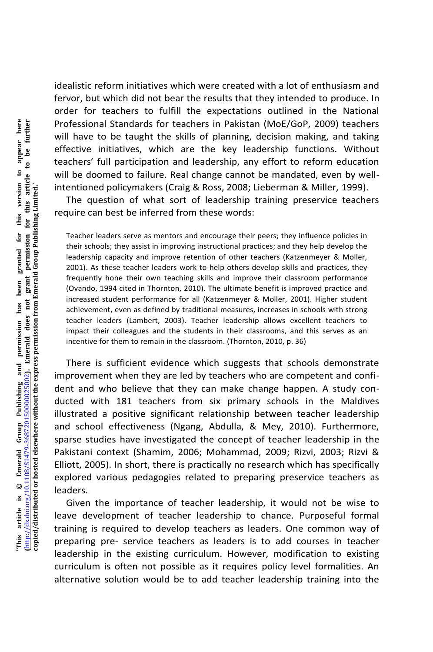idealistic reform initiatives which were created with a lot of enthusiasm and fervor, but which did not bear the results that they intended to produce. In order for teachers to fulfill the expectations outlined in the National Professional Standards for teachers in Pakistan (MoE/GoP, 2009) teachers will have to be taught the skills of planning, decision making, and taking effective initiatives, which are the key leadership functions. Without teachers' full participation and leadership, any effort to reform education will be doomed to failure. Real change cannot be mandated, even by wellintentioned policymakers (Craig & Ross, 2008; Lieberman & Miller, 1999).

The question of what sort of leadership training preservice teachers require can best be inferred from these words:

Teacher leaders serve as mentors and encourage their peers; they influence policies in their schools; they assist in improving instructional practices; and they help develop the leadership capacity and improve retention of other teachers (Katzenmeyer & Moller, 2001). As these teacher leaders work to help others develop skills and practices, they frequently hone their own teaching skills and improve their classroom performance (Ovando, 1994 cited in Thornton, 2010). The ultimate benefit is improved practice and increased student performance for all (Katzenmeyer & Moller, 2001). Higher student achievement, even as defined by traditional measures, increases in schools with strong teacher leaders (Lambert, 2003). Teacher leadership allows excellent teachers to impact their colleagues and the students in their classrooms, and this serves as an incentive for them to remain in the classroom. (Thornton, 2010, p. 36)

There is sufficient evidence which suggests that schools demonstrate improvement when they are led by teachers who are competent and confident and who believe that they can make change happen. A study conducted with 181 teachers from six primary schools in the Maldives illustrated a positive significant relationship between teacher leadership and school effectiveness (Ngang, Abdulla, & Mey, 2010). Furthermore, sparse studies have investigated the concept of teacher leadership in the Pakistani context (Shamim, 2006; Mohammad, 2009; Rizvi, 2003; Rizvi & Elliott, 2005). In short, there is practically no research which has specifically explored various pedagogies related to preparing preservice teachers as leaders.

Given the importance of teacher leadership, it would not be wise to leave development of teacher leadership to chance. Purposeful formal training is required to develop teachers as leaders. One common way of preparing pre- service teachers as leaders is to add courses in teacher leadership in the existing curriculum. However, modification to existing curriculum is often not possible as it requires policy level formalities. An alternative solution would be to add teacher leadership training into the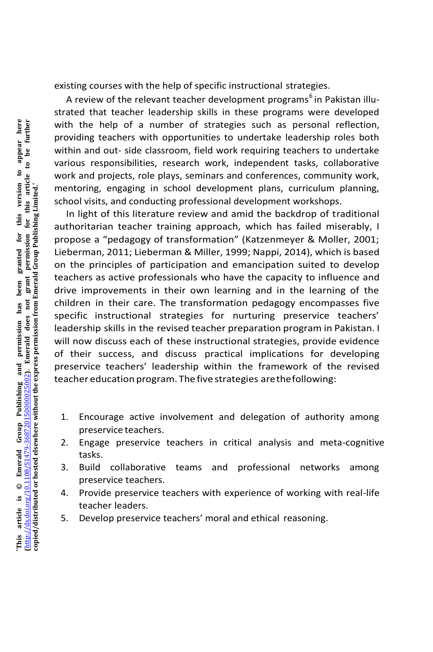existing courses with the help of specific instructional strategies.

A review of the relevant teacher development programs<sup>6</sup> in Pakistan illustrated that teacher leadership skills in these programs were developed with the help of a number of strategies such as personal reflection. providing teachers with opportunities to undertake leadership roles both within and out- side classroom, field work requiring teachers to undertake various responsibilities, research work, independent tasks, collaborative work and projects, role plays, seminars and conferences, community work, mentoring, engaging in school development plans, curriculum planning, school visits, and conducting professional development workshops.

In light of this literature review and amid the backdrop of traditional authoritarian teacher training approach, which has failed miserably, I propose a "pedagogy of transformation" (Katzenmeyer & Moller, 2001; Lieberman, 2011; Lieberman & Miller, 1999; Nappi, 2014), which is based on the principles of participation and emancipation suited to develop teachers as active professionals who have the capacity to influence and drive improvements in their own learning and in the learning of the children in their care. The transformation pedagogy encompasses five specific instructional strategies for nurturing preservice teachers' leadership skills in the revised teacher preparation program in Pakistan. I will now discuss each of these instructional strategies, provide evidence of their success, and discuss practical implications for developing preservice teachers' leadership within the framework of the revised teacher education program. The five strategies arethefollowing:

- 1. Encourage active involvement and delegation of authority among preservice teachers.
- 2. Engage preservice teachers in critical analysis and meta-cognitive tasks.
- 3. Build collaborative teams and professional networks among preservice teachers.
- 4. Provide preservice teachers with experience of working with real-life teacher leaders.
- 5. Develop preservice teachers' moral and ethical reasoning.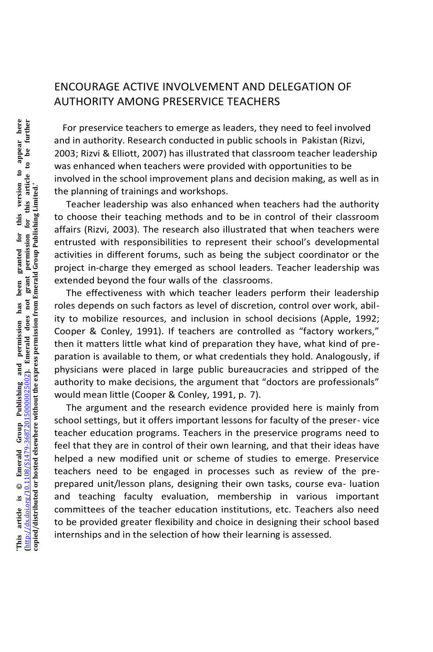#### ENCOURAGE ACTIVE INVOLVEMENT AND DELEGATION OF AUTHORITY AMONG PRESERVICE TEACHERS

For preservice teachers to emerge as leaders, they need to feel involved and in authority. Research conducted in public schools in Pakistan (Rizvi, 2003; Rizvi & Elliott, 2007) has illustrated that classroom teacher leadership was enhanced when teachers were provided with opportunities to be involved in the school improvement plans and decision making, as well as in the planning of trainings and workshops.

Teacher leadership was also enhanced when teachers had the authority to choose their teaching methods and to be in control of their classroom affairs (Rizvi, 2003). The research also illustrated that when teachers were entrusted with responsibilities to represent their school's developmental activities in different forums, such as being the subject coordinator or the project in-charge they emerged as school leaders. Teacher leadership was extended beyond the four walls of the classrooms.

The effectiveness with which teacher leaders perform their leadership roles depends on such factors as level of discretion, control over work, ability to mobilize resources, and inclusion in school decisions (Apple, 1992; Cooper & Conley, 1991). If teachers are controlled as "factory workers," then it matters little what kind of preparation they have, what kind of preparation is available to them, or what credentials they hold. Analogously, if physicians were placed in large public bureaucracies and stripped of the authority to make decisions, the argument that "doctors are professionals" would mean little (Cooper & Conley, 1991, p. 7).

The argument and the research evidence provided here is mainly from school settings, but it offers important lessons for faculty of the preser- vice teacher education programs. Teachers in the preservice programs need to feel that they are in control of their own learning, and that their ideas have helped a new modified unit or scheme of studies to emerge. Preservice teachers need to be engaged in processes such as review of the preprepared unit/lesson plans, designing their own tasks, course eva- luation and teaching faculty evaluation, membership in various important committees of the teacher education institutions, etc. Teachers also need to be provided greater flexibility and choice in designing their school based internships and in the selection of how their learning is assessed.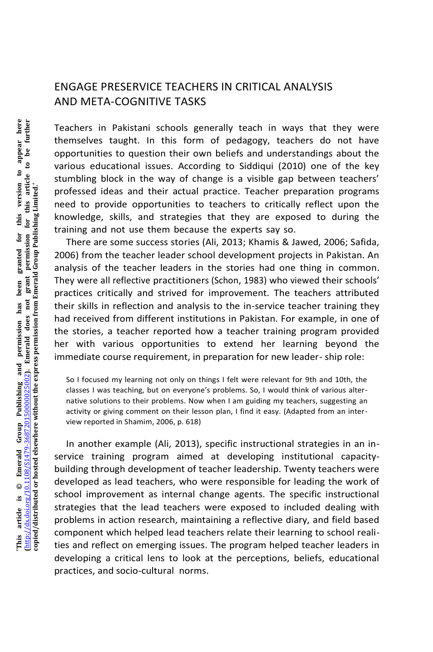#### ENGAGE PRESERVICE TEACHERS IN CRITICAL ANALYSIS AND META-COGNITIVE TASKS

Teachers in Pakistani schools generally teach in ways that they were themselves taught. In this form of pedagogy, teachers do not have opportunities to question their own beliefs and understandings about the various educational issues. According to Siddiqui (2010) one of the key stumbling block in the way of change is a visible gap between teachers' professed ideas and their actual practice. Teacher preparation programs need to provide opportunities to teachers to critically reflect upon the knowledge, skills, and strategies that they are exposed to during the training and not use them because the experts say so.

There are some success stories (Ali, 2013; Khamis & Jawed, 2006; Safida, 2006) from the teacher leader school development projects in Pakistan. An analysis of the teacher leaders in the stories had one thing in common. They were all reflective practitioners (Schon, 1983) who viewed their schools' practices critically and strived for improvement. The teachers attributed their skills in reflection and analysis to the in-service teacher training they had received from different institutions in Pakistan. For example, in one of the stories, a teacher reported how a teacher training program provided her with various opportunities to extend her learning beyond the immediate course requirement, in preparation for new leader- ship role:

So I focused my learning not only on things I felt were relevant for 9th and 10th, the classes I was teaching, but on everyone's problems. So, I would think of various alternative solutions to their problems. Now when I am guiding my teachers, suggesting an activity or giving comment on their lesson plan, I find it easy. (Adapted from an interview reported in Shamim, 2006, p. 618)

In another example (Ali, 2013), specific instructional strategies in an inservice training program aimed at developing institutional capacitybuilding through development of teacher leadership. Twenty teachers were developed as lead teachers, who were responsible for leading the work of school improvement as internal change agents. The specific instructional strategies that the lead teachers were exposed to included dealing with problems in action research, maintaining a reflective diary, and field based component which helped lead teachers relate their learning to school realities and reflect on emerging issues. The program helped teacher leaders in developing a critical lens to look at the perceptions, beliefs, educational practices, and socio-cultural norms.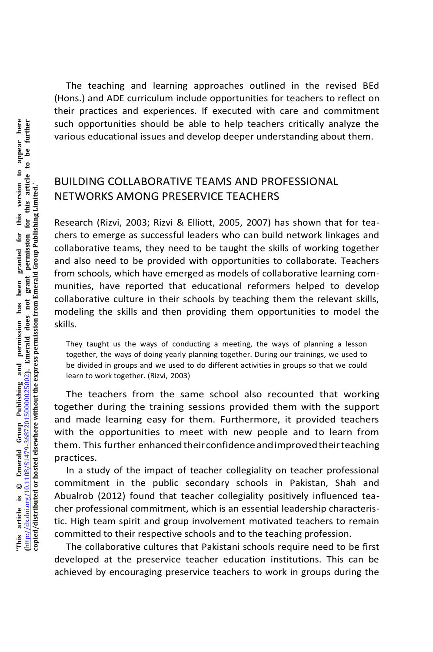The teaching and learning approaches outlined in the revised BEd (Hons.) and ADE curriculum include opportunities for teachers to reflect on their practices and experiences. If executed with care and commitment such opportunities should be able to help teachers critically analyze the various educational issues and develop deeper understanding about them.

#### BUILDING COLLABORATIVE TEAMS AND PROFESSIONAL NETWORKS AMONG PRESERVICE TEACHERS

Research (Rizvi, 2003; Rizvi & Elliott, 2005, 2007) has shown that for teachers to emerge as successful leaders who can build network linkages and collaborative teams, they need to be taught the skills of working together and also need to be provided with opportunities to collaborate. Teachers from schools, which have emerged as models of collaborative learning communities, have reported that educational reformers helped to develop collaborative culture in their schools by teaching them the relevant skills, modeling the skills and then providing them opportunities to model the skills.

They taught us the ways of conducting a meeting, the ways of planning a lesson together, the ways of doing yearly planning together. During our trainings, we used to be divided in groups and we used to do different activities in groups so that we could learn to work together. (Rizvi, 2003)

The teachers from the same school also recounted that working together during the training sessions provided them with the support and made learning easy for them. Furthermore, it provided teachers with the opportunities to meet with new people and to learn from them. This further enhanced their confidence and improved their teaching practices.

In a study of the impact of teacher collegiality on teacher professional commitment in the public secondary schools in Pakistan, Shah and Abualrob (2012) found that teacher collegiality positively influenced teacher professional commitment, which is an essential leadership characteristic. High team spirit and group involvement motivated teachers to remain committed to their respective schools and to the teaching profession.

The collaborative cultures that Pakistani schools require need to be first developed at the preservice teacher education institutions. This can be achieved by encouraging preservice teachers to work in groups during the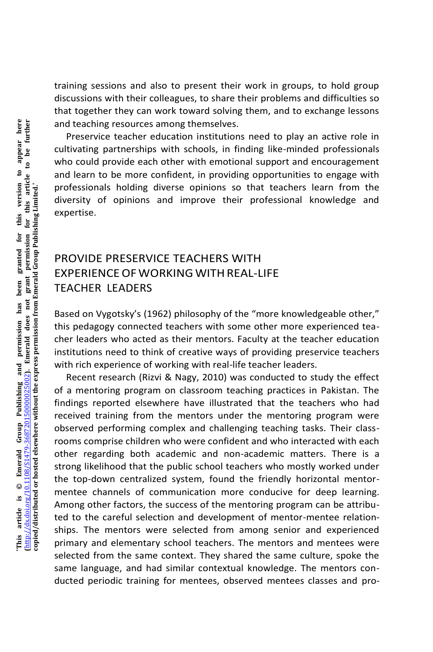training sessions and also to present their work in groups, to hold group discussions with their colleagues, to share their problems and difficulties so that together they can work toward solving them, and to exchange lessons and teaching resources among themselves.

Preservice teacher education institutions need to play an active role in cultivating partnerships with schools, in finding like-minded professionals who could provide each other with emotional support and encouragement and learn to be more confident, in providing opportunities to engage with professionals holding diverse opinions so that teachers learn from the diversity of opinions and improve their professional knowledge and expertise.

## PROVIDE PRESERVICE TEACHERS WITH EXPERIENCEOFWORKINGWITHREAL-LIFE TEACHER LEADERS

Based on Vygotsky's (1962) philosophy of the "more knowledgeable other," this pedagogy connected teachers with some other more experienced teacher leaders who acted as their mentors. Faculty at the teacher education institutions need to think of creative ways of providing preservice teachers with rich experience of working with real-life teacher leaders.

Recent research (Rizvi & Nagy, 2010) was conducted to study the effect of a mentoring program on classroom teaching practices in Pakistan. The findings reported elsewhere have illustrated that the teachers who had received training from the mentors under the mentoring program were observed performing complex and challenging teaching tasks. Their classrooms comprise children who were confident and who interacted with each other regarding both academic and non-academic matters. There is a strong likelihood that the public school teachers who mostly worked under the top-down centralized system, found the friendly horizontal mentormentee channels of communication more conducive for deep learning. Among other factors, the success of the mentoring program can be attributed to the careful selection and development of mentor-mentee relationships. The mentors were selected from among senior and experienced primary and elementary school teachers. The mentors and mentees were selected from the same context. They shared the same culture, spoke the same language, and had similar contextual knowledge. The mentors conducted periodic training for mentees, observed mentees classes and pro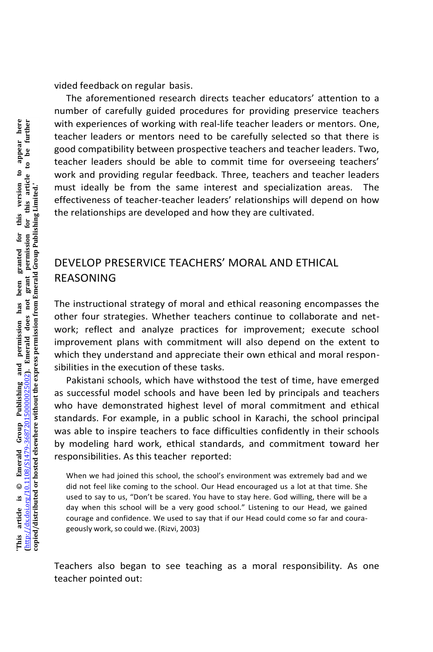vided feedback on regular basis.

The aforementioned research directs teacher educators' attention to a number of carefully guided procedures for providing preservice teachers with experiences of working with real-life teacher leaders or mentors. One, teacher leaders or mentors need to be carefully selected so that there is good compatibility between prospective teachers and teacher leaders. Two, teacher leaders should be able to commit time for overseeing teachers' work and providing regular feedback. Three, teachers and teacher leaders must ideally be from the same interest and specialization areas. The effectiveness of teacher-teacher leaders' relationships will depend on how the relationships are developed and how they are cultivated.

#### DEVELOP PRESERVICE TEACHERS' MORAL AND ETHICAL REASONING

The instructional strategy of moral and ethical reasoning encompasses the other four strategies. Whether teachers continue to collaborate and network; reflect and analyze practices for improvement; execute school improvement plans with commitment will also depend on the extent to which they understand and appreciate their own ethical and moral responsibilities in the execution of these tasks.

Pakistani schools, which have withstood the test of time, have emerged as successful model schools and have been led by principals and teachers who have demonstrated highest level of moral commitment and ethical standards. For example, in a public school in Karachi, the school principal was able to inspire teachers to face difficulties confidently in their schools by modeling hard work, ethical standards, and commitment toward her responsibilities. As this teacher reported:

When we had joined this school, the school's environment was extremely bad and we did not feel like coming to the school. Our Head encouraged us a lot at that time. She used to say to us, "Don't be scared. You have to stay here. God willing, there will be a day when this school will be a very good school." Listening to our Head, we gained courage and confidence. We used to say that if our Head could come so far and courageously work, so could we. (Rizvi, 2003)

Teachers also began to see teaching as a moral responsibility. As one teacher pointed out: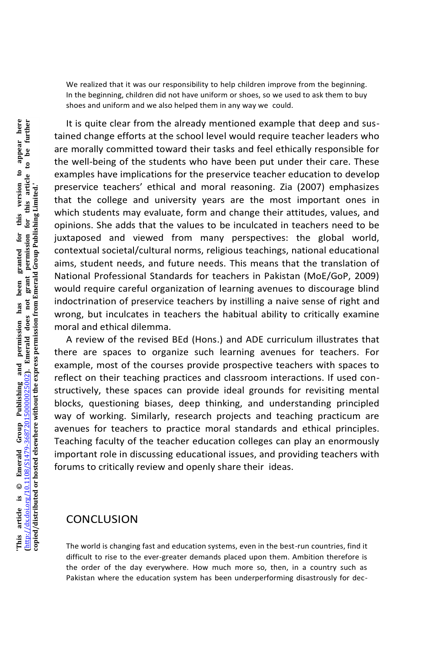We realized that it was our responsibility to help children improve from the beginning. In the beginning, children did not have uniform or shoes, so we used to ask them to buy shoes and uniform and we also helped them in any way we could.

It is quite clear from the already mentioned example that deep and sustained change efforts at the school level would require teacher leaders who are morally committed toward their tasks and feel ethically responsible for the well-being of the students who have been put under their care. These examples have implications for the preservice teacher education to develop preservice teachers' ethical and moral reasoning. Zia (2007) emphasizes that the college and university years are the most important ones in which students may evaluate, form and change their attitudes, values, and opinions. She adds that the values to be inculcated in teachers need to be juxtaposed and viewed from many perspectives: the global world, contextual societal/cultural norms, religious teachings, national educational aims, student needs, and future needs. This means that the translation of National Professional Standards for teachers in Pakistan (MoE/GoP, 2009) would require careful organization of learning avenues to discourage blind indoctrination of preservice teachers by instilling a naive sense of right and wrong, but inculcates in teachers the habitual ability to critically examine moral and ethical dilemma.

A review of the revised BEd (Hons.) and ADE curriculum illustrates that there are spaces to organize such learning avenues for teachers. For example, most of the courses provide prospective teachers with spaces to reflect on their teaching practices and classroom interactions. If used constructively, these spaces can provide ideal grounds for revisiting mental blocks, questioning biases, deep thinking, and understanding principled way of working. Similarly, research projects and teaching practicum are avenues for teachers to practice moral standards and ethical principles. Teaching faculty of the teacher education colleges can play an enormously important role in discussing educational issues, and providing teachers with forums to critically review and openly share their ideas.

#### **CONCLUSION**

The world is changing fast and education systems, even in the best-run countries, find it difficult to rise to the ever-greater demands placed upon them. Ambition therefore is the order of the day everywhere. How much more so, then, in a country such as Pakistan where the education system has been underperforming disastrously for dec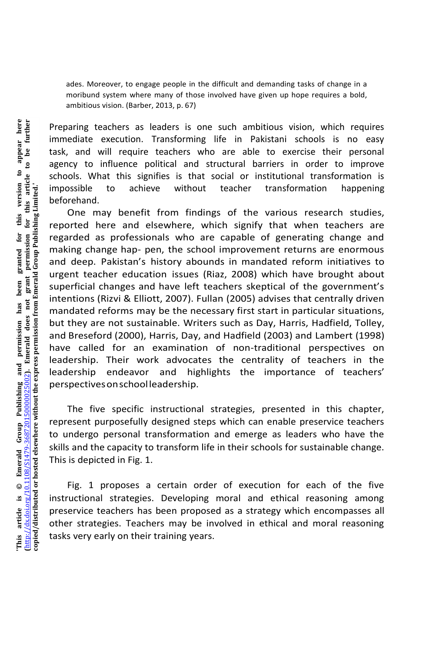ades. Moreover, to engage people in the difficult and demanding tasks of change in a moribund system where many of those involved have given up hope requires a bold, ambitious vision. (Barber, 2013, p. 67)

Preparing teachers as leaders is one such ambitious vision, which requires immediate execution. Transforming life in Pakistani schools is no easy task, and will require teachers who are able to exercise their personal agency to influence political and structural barriers in order to improve schools. What this signifies is that social or institutional transformation is impossible to achieve without teacher transformation happening beforehand.

One may benefit from findings of the various research studies, reported here and elsewhere, which signify that when teachers are regarded as professionals who are capable of generating change and making change hap- pen, the school improvement returns are enormous and deep. Pakistan's history abounds in mandated reform initiatives to urgent teacher education issues (Riaz, 2008) which have brought about superficial changes and have left teachers skeptical of the government's intentions (Rizvi & Elliott, 2007). Fullan (2005) advises that centrally driven mandated reforms may be the necessary first start in particular situations, but they are not sustainable. Writers such as Day, Harris, Hadfield, Tolley, and Breseford (2000), Harris, Day, and Hadfield (2003) and Lambert (1998) have called for an examination of non-traditional perspectives on leadership. Their work advocates the centrality of teachers in the leadership endeavor and highlights the importance of teachers' perspectivesonschoolleadership.

The five specific instructional strategies, presented in this chapter, represent purposefully designed steps which can enable preservice teachers to undergo personal transformation and emerge as leaders who have the skills and the capacity to transform life in their schools for sustainable change. This is depicted in Fig. 1.

Fig. 1 proposes a certain order of execution for each of the five instructional strategies. Developing moral and ethical reasoning among preservice teachers has been proposed as a strategy which encompasses all other strategies. Teachers may be involved in ethical and moral reasoning tasks very early on their training years.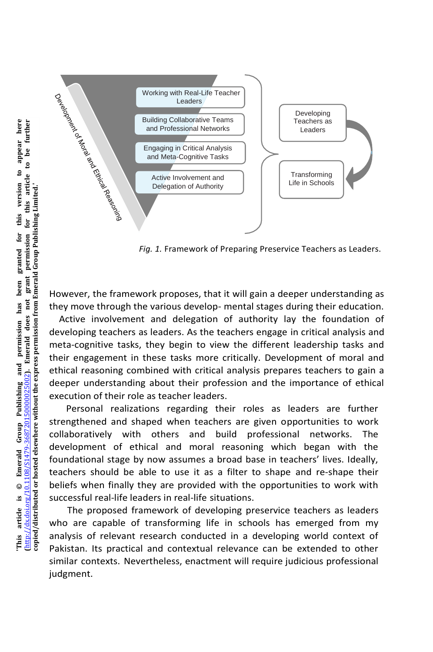

*Fig. 1.* Framework of Preparing Preservice Teachers as Leaders.

However, the framework proposes, that it will gain a deeper understanding as they move through the various develop- mental stages during their education.

Active involvement and delegation of authority lay the foundation of developing teachers as leaders. As the teachers engage in critical analysis and meta-cognitive tasks, they begin to view the different leadership tasks and their engagement in these tasks more critically. Development of moral and ethical reasoning combined with critical analysis prepares teachers to gain a deeper understanding about their profession and the importance of ethical execution of their role as teacher leaders.

Personal realizations regarding their roles as leaders are further strengthened and shaped when teachers are given opportunities to work collaboratively with others and build professional networks. The development of ethical and moral reasoning which began with the foundational stage by now assumes a broad base in teachers' lives. Ideally, teachers should be able to use it as a filter to shape and re-shape their beliefs when finally they are provided with the opportunities to work with successful real-life leaders in real-life situations.

The proposed framework of developing preservice teachers as leaders who are capable of transforming life in schools has emerged from my analysis of relevant research conducted in a developing world context of Pakistan. Its practical and contextual relevance can be extended to other similar contexts. Nevertheless, enactment will require judicious professional judgment.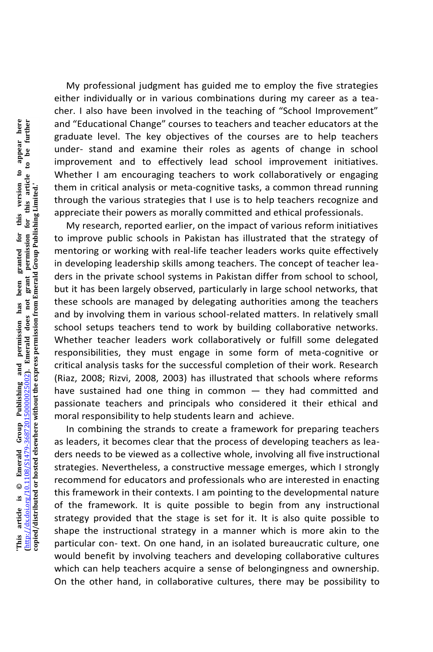My professional judgment has guided me to employ the five strategies either individually or in various combinations during my career as a teacher. I also have been involved in the teaching of "School Improvement" and "Educational Change" courses to teachers and teacher educators at the graduate level. The key objectives of the courses are to help teachers under- stand and examine their roles as agents of change in school improvement and to effectively lead school improvement initiatives. Whether I am encouraging teachers to work collaboratively or engaging them in critical analysis or meta-cognitive tasks, a common thread running through the various strategies that I use is to help teachers recognize and appreciate their powers as morally committed and ethical professionals.

My research, reported earlier, on the impact of various reform initiatives to improve public schools in Pakistan has illustrated that the strategy of mentoring or working with real-life teacher leaders works quite effectively in developing leadership skills among teachers. The concept of teacher leaders in the private school systems in Pakistan differ from school to school, but it has been largely observed, particularly in large school networks, that these schools are managed by delegating authorities among the teachers and by involving them in various school-related matters. In relatively small school setups teachers tend to work by building collaborative networks. Whether teacher leaders work collaboratively or fulfill some delegated responsibilities, they must engage in some form of meta-cognitive or critical analysis tasks for the successful completion of their work. Research (Riaz, 2008; Rizvi, 2008, 2003) has illustrated that schools where reforms have sustained had one thing in common — they had committed and passionate teachers and principals who considered it their ethical and moral responsibility to help students learn and achieve.

In combining the strands to create a framework for preparing teachers as leaders, it becomes clear that the process of developing teachers as leaders needs to be viewed as a collective whole, involving all five instructional strategies. Nevertheless, a constructive message emerges, which I strongly recommend for educators and professionals who are interested in enacting this framework in their contexts. I am pointing to the developmental nature of the framework. It is quite possible to begin from any instructional strategy provided that the stage is set for it. It is also quite possible to shape the instructional strategy in a manner which is more akin to the particular con- text. On one hand, in an isolated bureaucratic culture, one would benefit by involving teachers and developing collaborative cultures which can help teachers acquire a sense of belongingness and ownership. On the other hand, in collaborative cultures, there may be possibility to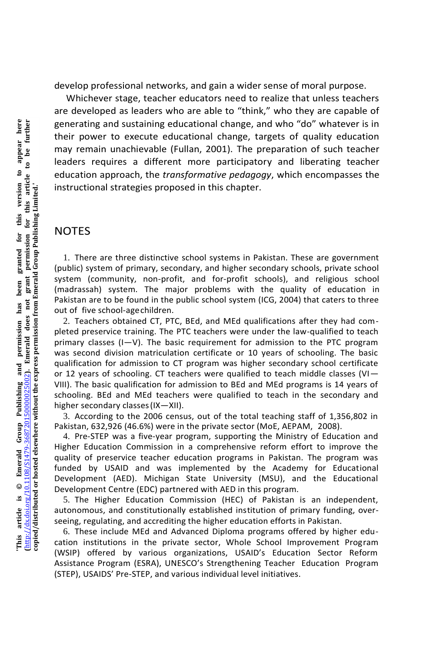develop professional networks, and gain a wider sense of moral purpose.

Whichever stage, teacher educators need to realize that unless teachers are developed as leaders who are able to "think," who they are capable of generating and sustaining educational change, and who "do" whatever is in their power to execute educational change, targets of quality education may remain unachievable (Fullan, 2001). The preparation of such teacher leaders requires a different more participatory and liberating teacher education approach, the *transformative pedagogy*, which encompasses the instructional strategies proposed in this chapter.

#### **NOTES**

1. There are three distinctive school systems in Pakistan. These are government (public) system of primary, secondary, and higher secondary schools, private school system (community, non-profit, and for-profit schools), and religious school (madrassah) system. The major problems with the quality of education in Pakistan are to be found in the public school system (ICG, 2004) that caters to three out of five school-agechildren.

2. Teachers obtained CT, PTC, BEd, and MEd qualifications after they had completed preservice training. The PTC teachers were under the law-qualified to teach primary classes (I—V). The basic requirement for admission to the PTC program was second division matriculation certificate or 10 years of schooling. The basic qualification for admission to CT program was higher secondary school certificate or 12 years of schooling. CT teachers were qualified to teach middle classes (VI $-$ VIII). The basic qualification for admission to BEd and MEd programs is 14 years of schooling. BEd and MEd teachers were qualified to teach in the secondary and higher secondary classes(IX—XII).

3. According to the 2006 census, out of the total teaching staff of 1,356,802 in Pakistan, 632,926 (46.6%) were in the private sector (MoE, AEPAM, 2008).

4. Pre-STEP was a five-year program, supporting the Ministry of Education and Higher Education Commission in a comprehensive reform effort to improve the quality of preservice teacher education programs in Pakistan. The program was funded by USAID and was implemented by the Academy for Educational Development (AED). Michigan State University (MSU), and the Educational Development Centre (EDC) partnered with AED in this program.

5. The Higher Education Commission (HEC) of Pakistan is an independent, autonomous, and constitutionally established institution of primary funding, overseeing, regulating, and accrediting the higher education efforts in Pakistan.

6. These include MEd and Advanced Diploma programs offered by higher education institutions in the private sector, Whole School Improvement Program (WSIP) offered by various organizations, USAID's Education Sector Reform Assistance Program (ESRA), UNESCO's Strengthening Teacher Education Program (STEP), USAIDS' Pre-STEP, and various individual level initiatives.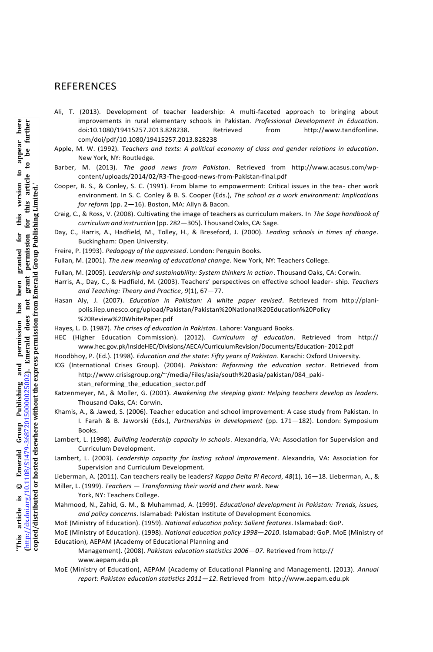#### **REFERENCES**

- Ali, T. (2013). Development of teacher leadership: A multi-faceted approach to bringing about improvements in rural elementary schools in Pakistan. *Professional Development in Education*. doi:10.1080/19415257.2013.828238. Retrieved from http://www.tandfonline. com/doi/pdf/10.1080/19415257.2013.828238
- Apple, M. W. (1992). *Teachers and texts: A political economy of class and gender relations in education*. New York, NY: Routledge.
- Barber, M. (2013). *The good news from Pakistan*. Retrieved from http://www.acasus.com/wpcontent/uploads/2014/02/R3-The-good-news-from-Pakistan-final.pdf
- Cooper, B. S., & Conley, S. C. (1991). From blame to empowerment: Critical issues in the tea- cher work environment. In S. C. Conley & B. S. Cooper (Eds.), *The school as a work environment: Implications for reform* (pp. 2—16). Boston, MA: Allyn & Bacon.
- Craig, C., & Ross, V. (2008). Cultivating the image of teachers as curriculum makers. In *The Sage handbook of curriculum and instruction* (pp. 282—305). Thousand Oaks, CA: Sage.
- Day, C., Harris, A., Hadfield, M., Tolley, H., & Breseford, J. (2000). *Leading schools in times of change*. Buckingham: Open University.
- Freire, P. (1993). *Pedagogy of the oppressed*. London: Penguin Books.

Fullan, M. (2001). *The new meaning of educational change*. New York, NY: Teachers College.

- Fullan, M. (2005). *Leadership and sustainability: System thinkers in action*. Thousand Oaks, CA: Corwin.
- Harris, A., Day, C., & Hadfield, M. (2003). Teachers' perspectives on effective school leader- ship. *Teachers and Teaching: Theory and Practice*, *9*(1), 67—77.
- Hasan Aly, J. (2007). *Education in Pakistan: A white paper revised*. Retrieved from http://planipolis.iiep.unesco.org/upload/Pakistan/Pakistan%20National%20Education%20Policy %20Review%20WhitePaper.pdf
- Hayes, L. D. (1987). *The crises of education in Pakistan*. Lahore: Vanguard Books.
- HEC (Higher Education Commission). (2012). *Curriculum of education*. Retrieved from http:// www.hec.gov.pk/InsideHEC/Divisions/AECA/CurriculumRevision/Documents/Education- 2012.pdf
- Hoodbhoy, P. (Ed.). (1998). *Education and the state: Fifty years of Pakistan*. Karachi: Oxford University.
- ICG (International Crises Group). (2004). *Pakistan: Reforming the education sector*. Retrieved from http://www.crisisgroup.org/~/media/Files/asia/south%20asia/pakistan/084\_pakistan\_reforming\_the\_education\_sector.pdf
- Katzenmeyer, M., & Moller, G. (2001). *Awakening the sleeping giant: Helping teachers develop as leaders*. Thousand Oaks, CA: Corwin.
- Khamis, A., & Jawed, S. (2006). Teacher education and school improvement: A case study from Pakistan. In I. Farah & B. Jaworski (Eds.), *Partnerships in development* (pp. 171—182). London: Symposium Books.
- Lambert, L. (1998). *Building leadership capacity in schools*. Alexandria, VA: Association for Supervision and Curriculum Development.
- Lambert, L. (2003). *Leadership capacity for lasting school improvement*. Alexandria, VA: Association for Supervision and Curriculum Development.

Lieberman, A. (2011). Can teachers really be leaders? *Kappa Delta Pi Record*, *48*(1), 16—18. Lieberman, A., & Miller, L. (1999). *Teachers* — *Transforming their world and their work*. New

- York, NY: Teachers College.
- Mahmood, N., Zahid, G. M., & Muhammad, A. (1999). *Educational development in Pakistan: Trends, issues, and policy concerns*. Islamabad: Pakistan Institute of Development Economics.
- MoE (Ministry of Education). (1959). *National education policy: Salient features*. Islamabad: GoP.
- MoE (Ministry of Education). (1998). *National education policy 1998*—*2010*. Islamabad: GoP. MoE (Ministry of Education), AEPAM (Academy of Educational Planning and
	- Management). (2008). *Pakistan education statistics 2006*—*07*. Retrieved from http:// www.aepam.edu.pk
- MoE (Ministry of Education), AEPAM (Academy of Educational Planning and Management). (2013). *Annual report: Pakistan education statistics 2011*—*12*. Retrieved from http://www.aepam.edu.pk